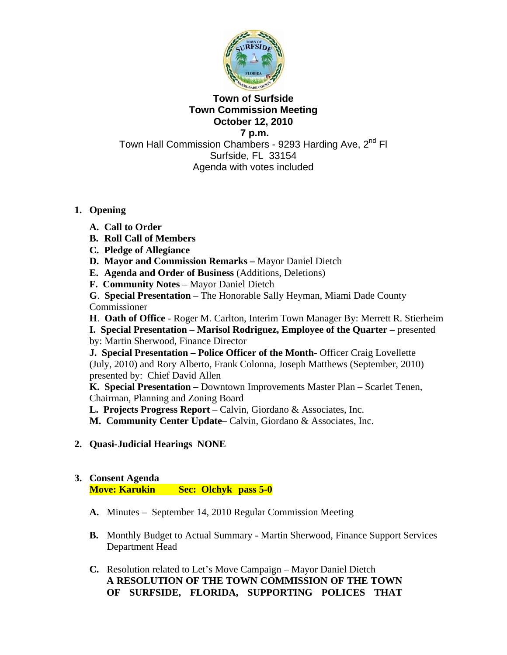

#### **Town of Surfside Town Commission Meeting October 12, 2010 7 p.m.**

Town Hall Commission Chambers - 9293 Harding Ave, 2<sup>nd</sup> Fl Surfside, FL 33154 Agenda with votes included

# **1. Opening**

- **A. Call to Order**
- **B. Roll Call of Members**
- **C. Pledge of Allegiance**
- **D. Mayor and Commission Remarks** Mayor Daniel Dietch
- **E. Agenda and Order of Business** (Additions, Deletions)
- **F. Community Notes** Mayor Daniel Dietch

**G**. **Special Presentation** – The Honorable Sally Heyman, Miami Dade County Commissioner

**H**. **Oath of Office** - Roger M. Carlton, Interim Town Manager By: Merrett R. Stierheim **I.** Special Presentation – Marisol Rodriguez, Employee of the Quarter – presented by: Martin Sherwood, Finance Director

**J. Special Presentation – Police Officer of the Month-** Officer Craig Lovellette (July, 2010) and Rory Alberto, Frank Colonna, Joseph Matthews (September, 2010) presented by: Chief David Allen

**K. Special Presentation –** Downtown Improvements Master Plan – Scarlet Tenen, Chairman, Planning and Zoning Board

**L. Projects Progress Report** – Calvin, Giordano & Associates, Inc.

**M. Community Center Update**– Calvin, Giordano & Associates, Inc.

**2. Quasi-Judicial Hearings NONE** 

# **3. Consent Agenda**

**Move: Karukin Sec: Olchyk pass 5-0** 

- **A.** Minutes September 14, 2010 Regular Commission Meeting
- **B.** Monthly Budget to Actual Summary Martin Sherwood, Finance Support Services Department Head
- **C.** Resolution related to Let's Move Campaign Mayor Daniel Dietch **A RESOLUTION OF THE TOWN COMMISSION OF THE TOWN OF SURFSIDE, FLORIDA, SUPPORTING POLICES THAT**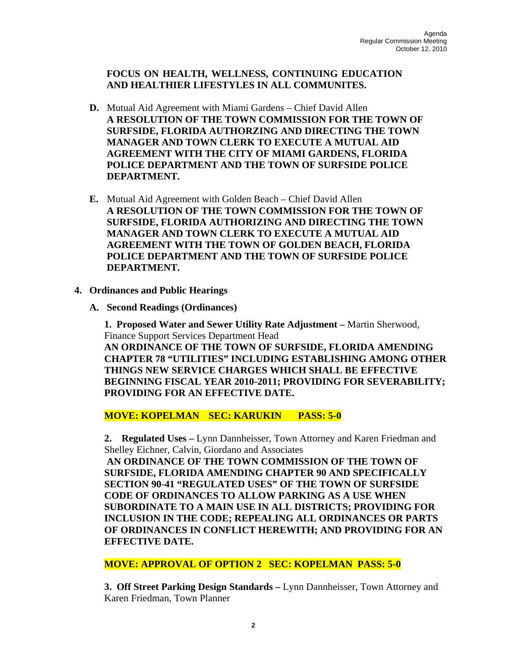**FOCUS ON HEALTH, WELLNESS, CONTINUING EDUCATION AND HEALTHIER LIFESTYLES IN ALL COMMUNITES.** 

- **D.** Mutual Aid Agreement with Miami Gardens Chief David Allen **A RESOLUTION OF THE TOWN COMMISSION FOR THE TOWN OF SURFSIDE, FLORIDA AUTHORZING AND DIRECTING THE TOWN MANAGER AND TOWN CLERK TO EXECUTE A MUTUAL AID AGREEMENT WITH THE CITY OF MIAMI GARDENS, FLORIDA POLICE DEPARTMENT AND THE TOWN OF SURFSIDE POLICE DEPARTMENT.**
- **E.** Mutual Aid Agreement with Golden Beach Chief David Allen **A RESOLUTION OF THE TOWN COMMISSION FOR THE TOWN OF SURFSIDE, FLORIDA AUTHORIZING AND DIRECTING THE TOWN MANAGER AND TOWN CLERK TO EXECUTE A MUTUAL AID AGREEMENT WITH THE TOWN OF GOLDEN BEACH, FLORIDA POLICE DEPARTMENT AND THE TOWN OF SURFSIDE POLICE DEPARTMENT.**
- **4. Ordinances and Public Hearings** 
	- **A. Second Readings (Ordinances)**

 **1. Proposed Water and Sewer Utility Rate Adjustment –** Martin Sherwood, Finance Support Services Department Head **AN ORDINANCE OF THE TOWN OF SURFSIDE, FLORIDA AMENDING CHAPTER 78 "UTILITIES" INCLUDING ESTABLISHING AMONG OTHER THINGS NEW SERVICE CHARGES WHICH SHALL BE EFFECTIVE BEGINNING FISCAL YEAR 2010-2011; PROVIDING FOR SEVERABILITY; PROVIDING FOR AN EFFECTIVE DATE.** 

**MOVE: KOPELMAN SEC: KARUKIN PASS: 5-0** 

 **2. Regulated Uses –** Lynn Dannheisser, Town Attorney and Karen Friedman and Shelley Eichner, Calvin, Giordano and Associates

**AN ORDINANCE OF THE TOWN COMMISSION OF THE TOWN OF SURFSIDE, FLORIDA AMENDING CHAPTER 90 AND SPECIFICALLY SECTION 90-41 "REGULATED USES" OF THE TOWN OF SURFSIDE CODE OF ORDINANCES TO ALLOW PARKING AS A USE WHEN SUBORDINATE TO A MAIN USE IN ALL DISTRICTS; PROVIDING FOR INCLUSION IN THE CODE; REPEALING ALL ORDINANCES OR PARTS OF ORDINANCES IN CONFLICT HEREWITH; AND PROVIDING FOR AN EFFECTIVE DATE.** 

**MOVE: APPROVAL OF OPTION 2 SEC: KOPELMAN PASS: 5-0** 

**3. Off Street Parking Design Standards –** Lynn Dannheisser, Town Attorney and Karen Friedman, Town Planner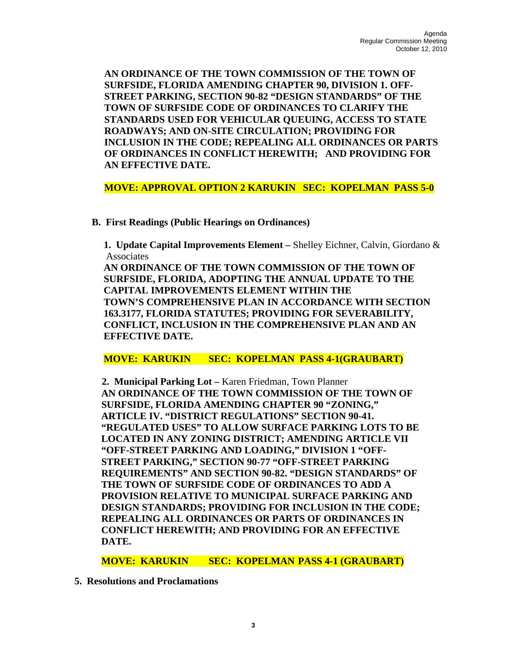**AN ORDINANCE OF THE TOWN COMMISSION OF THE TOWN OF SURFSIDE, FLORIDA AMENDING CHAPTER 90, DIVISION 1. OFF-STREET PARKING, SECTION 90-82 "DESIGN STANDARDS" OF THE TOWN OF SURFSIDE CODE OF ORDINANCES TO CLARIFY THE STANDARDS USED FOR VEHICULAR QUEUING, ACCESS TO STATE ROADWAYS; AND ON-SITE CIRCULATION; PROVIDING FOR INCLUSION IN THE CODE; REPEALING ALL ORDINANCES OR PARTS OF ORDINANCES IN CONFLICT HEREWITH; AND PROVIDING FOR AN EFFECTIVE DATE.** 

**MOVE: APPROVAL OPTION 2 KARUKIN SEC: KOPELMAN PASS 5-0** 

 **B. First Readings (Public Hearings on Ordinances)** 

**1. Update Capital Improvements Element –** Shelley Eichner, Calvin, Giordano & Associates

**AN ORDINANCE OF THE TOWN COMMISSION OF THE TOWN OF SURFSIDE, FLORIDA, ADOPTING THE ANNUAL UPDATE TO THE CAPITAL IMPROVEMENTS ELEMENT WITHIN THE TOWN'S COMPREHENSIVE PLAN IN ACCORDANCE WITH SECTION 163.3177, FLORIDA STATUTES; PROVIDING FOR SEVERABILITY, CONFLICT, INCLUSION IN THE COMPREHENSIVE PLAN AND AN EFFECTIVE DATE.** 

**MOVE: KARUKIN SEC: KOPELMAN PASS 4-1(GRAUBART)** 

 **2. Municipal Parking Lot –** Karen Friedman, Town Planner **AN ORDINANCE OF THE TOWN COMMISSION OF THE TOWN OF SURFSIDE, FLORIDA AMENDING CHAPTER 90 "ZONING," ARTICLE IV. "DISTRICT REGULATIONS" SECTION 90-41. "REGULATED USES" TO ALLOW SURFACE PARKING LOTS TO BE LOCATED IN ANY ZONING DISTRICT; AMENDING ARTICLE VII "OFF-STREET PARKING AND LOADING," DIVISION 1 "OFF-STREET PARKING," SECTION 90-77 "OFF-STREET PARKING REQUIREMENTS" AND SECTION 90-82. "DESIGN STANDARDS" OF THE TOWN OF SURFSIDE CODE OF ORDINANCES TO ADD A PROVISION RELATIVE TO MUNICIPAL SURFACE PARKING AND DESIGN STANDARDS; PROVIDING FOR INCLUSION IN THE CODE; REPEALING ALL ORDINANCES OR PARTS OF ORDINANCES IN CONFLICT HEREWITH; AND PROVIDING FOR AN EFFECTIVE DATE.** 

**MOVE: KARUKIN SEC: KOPELMAN PASS 4-1 (GRAUBART)** 

 **5. Resolutions and Proclamations**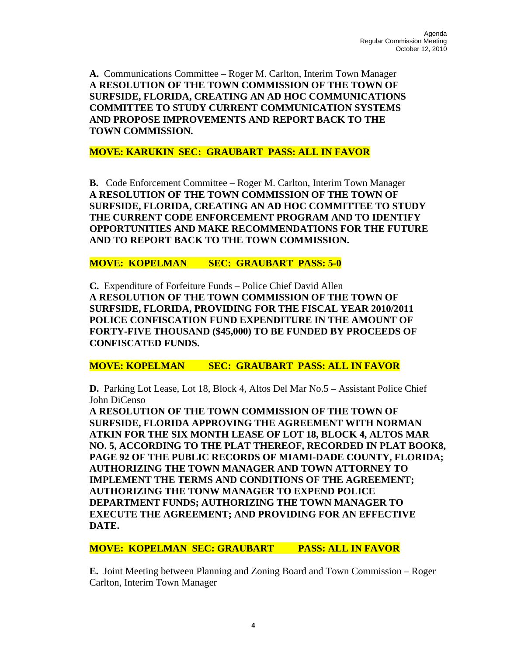**A.** Communications Committee – Roger M. Carlton, Interim Town Manager **A RESOLUTION OF THE TOWN COMMISSION OF THE TOWN OF SURFSIDE, FLORIDA, CREATING AN AD HOC COMMUNICATIONS COMMITTEE TO STUDY CURRENT COMMUNICATION SYSTEMS AND PROPOSE IMPROVEMENTS AND REPORT BACK TO THE TOWN COMMISSION.** 

**MOVE: KARUKIN SEC: GRAUBART PASS: ALL IN FAVOR** 

**B.** Code Enforcement Committee – Roger M. Carlton, Interim Town Manager **A RESOLUTION OF THE TOWN COMMISSION OF THE TOWN OF SURFSIDE, FLORIDA, CREATING AN AD HOC COMMITTEE TO STUDY THE CURRENT CODE ENFORCEMENT PROGRAM AND TO IDENTIFY OPPORTUNITIES AND MAKE RECOMMENDATIONS FOR THE FUTURE AND TO REPORT BACK TO THE TOWN COMMISSION.** 

**MOVE: KOPELMAN SEC: GRAUBART PASS: 5-0** 

**C.** Expenditure of Forfeiture Funds – Police Chief David Allen **A RESOLUTION OF THE TOWN COMMISSION OF THE TOWN OF SURFSIDE, FLORIDA, PROVIDING FOR THE FISCAL YEAR 2010/2011 POLICE CONFISCATION FUND EXPENDITURE IN THE AMOUNT OF FORTY-FIVE THOUSAND (\$45,000) TO BE FUNDED BY PROCEEDS OF CONFISCATED FUNDS.** 

**MOVE: KOPELMAN SEC: GRAUBART PASS: ALL IN FAVOR** 

**D.** Parking Lot Lease, Lot 18, Block 4, Altos Del Mar No.5 **–** Assistant Police Chief John DiCenso

**A RESOLUTION OF THE TOWN COMMISSION OF THE TOWN OF SURFSIDE, FLORIDA APPROVING THE AGREEMENT WITH NORMAN ATKIN FOR THE SIX MONTH LEASE OF LOT 18, BLOCK 4, ALTOS MAR NO. 5, ACCORDING TO THE PLAT THEREOF, RECORDED IN PLAT BOOK8, PAGE 92 OF THE PUBLIC RECORDS OF MIAMI-DADE COUNTY, FLORIDA; AUTHORIZING THE TOWN MANAGER AND TOWN ATTORNEY TO IMPLEMENT THE TERMS AND CONDITIONS OF THE AGREEMENT; AUTHORIZING THE TONW MANAGER TO EXPEND POLICE DEPARTMENT FUNDS; AUTHORIZING THE TOWN MANAGER TO EXECUTE THE AGREEMENT; AND PROVIDING FOR AN EFFECTIVE DATE.** 

**MOVE: KOPELMAN SEC: GRAUBART PASS: ALL IN FAVOR** 

**E.** Joint Meeting between Planning and Zoning Board and Town Commission – Roger Carlton, Interim Town Manager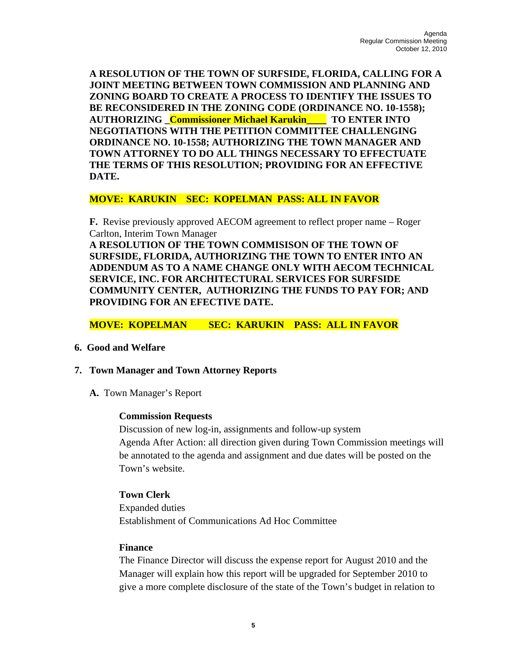**A RESOLUTION OF THE TOWN OF SURFSIDE, FLORIDA, CALLING FOR A JOINT MEETING BETWEEN TOWN COMMISSION AND PLANNING AND ZONING BOARD TO CREATE A PROCESS TO IDENTIFY THE ISSUES TO BE RECONSIDERED IN THE ZONING CODE (ORDINANCE NO. 10-1558); AUTHORIZING \_Commissioner Michael Karukin\_\_\_\_ TO ENTER INTO NEGOTIATIONS WITH THE PETITION COMMITTEE CHALLENGING ORDINANCE NO. 10-1558; AUTHORIZING THE TOWN MANAGER AND TOWN ATTORNEY TO DO ALL THINGS NECESSARY TO EFFECTUATE THE TERMS OF THIS RESOLUTION; PROVIDING FOR AN EFFECTIVE DATE.** 

## **MOVE: KARUKIN SEC: KOPELMAN PASS: ALL IN FAVOR**

**F.** Revise previously approved AECOM agreement to reflect proper name – Roger Carlton, Interim Town Manager

**A RESOLUTION OF THE TOWN COMMISISON OF THE TOWN OF SURFSIDE, FLORIDA, AUTHORIZING THE TOWN TO ENTER INTO AN ADDENDUM AS TO A NAME CHANGE ONLY WITH AECOM TECHNICAL SERVICE, INC. FOR ARCHITECTURAL SERVICES FOR SURFSIDE COMMUNITY CENTER, AUTHORIZING THE FUNDS TO PAY FOR; AND PROVIDING FOR AN EFECTIVE DATE.** 

## **MOVE: KOPELMAN SEC: KARUKIN PASS: ALL IN FAVOR**

#### **6. Good and Welfare**

## **7. Town Manager and Town Attorney Reports**

**A.** Town Manager's Report

#### **Commission Requests**

Discussion of new log-in, assignments and follow-up system Agenda After Action: all direction given during Town Commission meetings will be annotated to the agenda and assignment and due dates will be posted on the Town's website.

#### **Town Clerk**

Expanded duties Establishment of Communications Ad Hoc Committee

#### **Finance**

The Finance Director will discuss the expense report for August 2010 and the Manager will explain how this report will be upgraded for September 2010 to give a more complete disclosure of the state of the Town's budget in relation to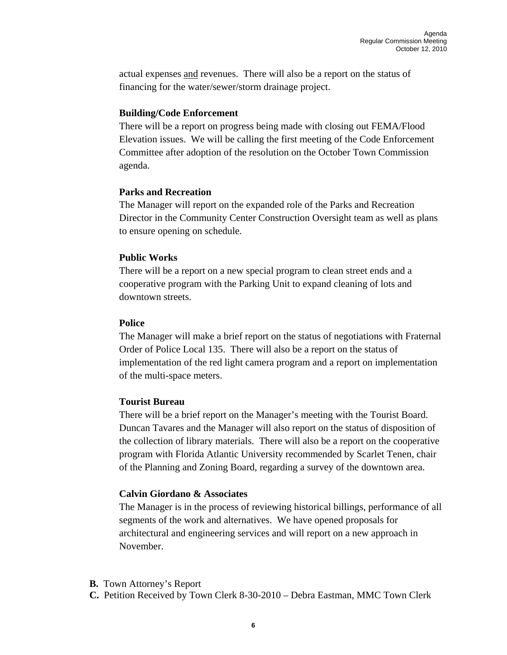actual expenses and revenues. There will also be a report on the status of financing for the water/sewer/storm drainage project.

## **Building/Code Enforcement**

There will be a report on progress being made with closing out FEMA/Flood Elevation issues. We will be calling the first meeting of the Code Enforcement Committee after adoption of the resolution on the October Town Commission agenda.

## **Parks and Recreation**

The Manager will report on the expanded role of the Parks and Recreation Director in the Community Center Construction Oversight team as well as plans to ensure opening on schedule.

## **Public Works**

There will be a report on a new special program to clean street ends and a cooperative program with the Parking Unit to expand cleaning of lots and downtown streets.

## **Police**

The Manager will make a brief report on the status of negotiations with Fraternal Order of Police Local 135. There will also be a report on the status of implementation of the red light camera program and a report on implementation of the multi-space meters.

## **Tourist Bureau**

There will be a brief report on the Manager's meeting with the Tourist Board. Duncan Tavares and the Manager will also report on the status of disposition of the collection of library materials. There will also be a report on the cooperative program with Florida Atlantic University recommended by Scarlet Tenen, chair of the Planning and Zoning Board, regarding a survey of the downtown area.

## **Calvin Giordano & Associates**

The Manager is in the process of reviewing historical billings, performance of all segments of the work and alternatives. We have opened proposals for architectural and engineering services and will report on a new approach in November.

- **B.** Town Attorney's Report
- **C.** Petition Received by Town Clerk 8-30-2010 Debra Eastman, MMC Town Clerk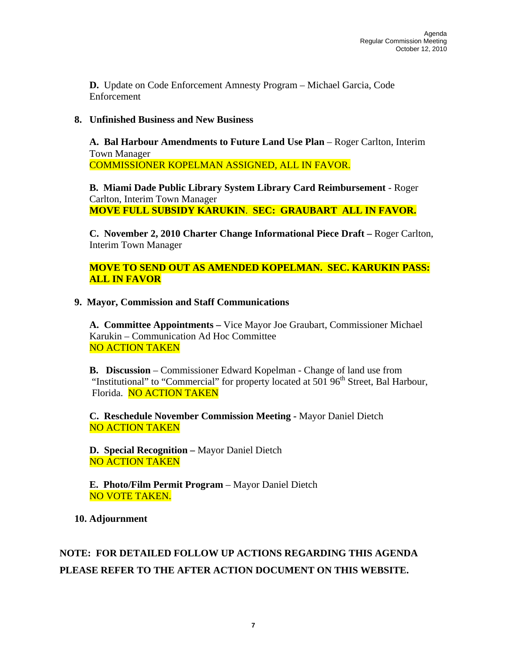**D.** Update on Code Enforcement Amnesty Program – Michael Garcia, Code Enforcement

## **8. Unfinished Business and New Business**

**A. Bal Harbour Amendments to Future Land Use Plan** – Roger Carlton, Interim Town Manager COMMISSIONER KOPELMAN ASSIGNED, ALL IN FAVOR.

**B. Miami Dade Public Library System Library Card Reimbursement** - Roger Carlton, Interim Town Manager **MOVE FULL SUBSIDY KARUKIN**. **SEC: GRAUBART ALL IN FAVOR.** 

**C. November 2, 2010 Charter Change Informational Piece Draft –** Roger Carlton, Interim Town Manager

**MOVE TO SEND OUT AS AMENDED KOPELMAN. SEC. KARUKIN PASS: ALL IN FAVOR** 

## **9. Mayor, Commission and Staff Communications**

 **A. Committee Appointments –** Vice Mayor Joe Graubart, Commissioner Michael Karukin – Communication Ad Hoc Committee NO ACTION TAKEN

**B. Discussion** – Commissioner Edward Kopelman - Change of land use from "Institutional" to "Commercial" for property located at  $501\,96<sup>th</sup>$  Street, Bal Harbour, Florida. NO ACTION TAKEN

**C. Reschedule November Commission Meeting -** Mayor Daniel Dietch NO ACTION TAKEN

**D. Special Recognition –** Mayor Daniel Dietch NO ACTION TAKEN

**E. Photo/Film Permit Program** – Mayor Daniel Dietch NO VOTE TAKEN.

 **10. Adjournment** 

# **NOTE: FOR DETAILED FOLLOW UP ACTIONS REGARDING THIS AGENDA PLEASE REFER TO THE AFTER ACTION DOCUMENT ON THIS WEBSITE.**